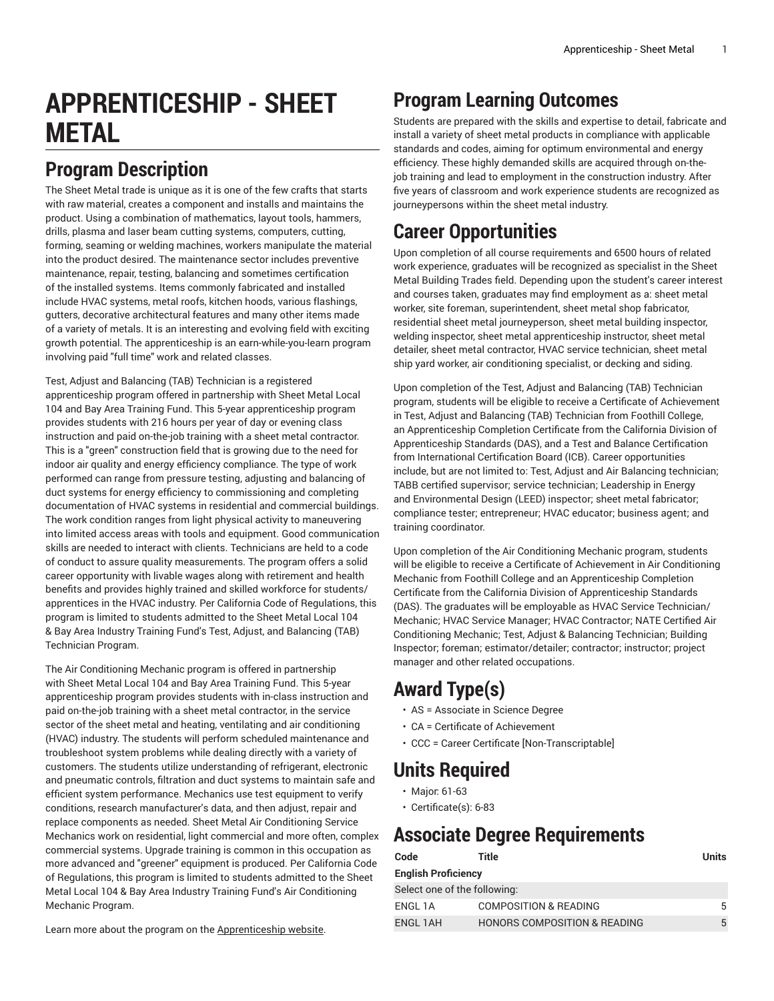# **APPRENTICESHIP - SHEET METAL**

### **Program Description**

The Sheet Metal trade is unique as it is one of the few crafts that starts with raw material, creates a component and installs and maintains the product. Using a combination of mathematics, layout tools, hammers, drills, plasma and laser beam cutting systems, computers, cutting, forming, seaming or welding machines, workers manipulate the material into the product desired. The maintenance sector includes preventive maintenance, repair, testing, balancing and sometimes certification of the installed systems. Items commonly fabricated and installed include HVAC systems, metal roofs, kitchen hoods, various flashings, gutters, decorative architectural features and many other items made of a variety of metals. It is an interesting and evolving field with exciting growth potential. The apprenticeship is an earn-while-you-learn program involving paid "full time" work and related classes.

Test, Adjust and Balancing (TAB) Technician is a registered apprenticeship program offered in partnership with Sheet Metal Local 104 and Bay Area Training Fund. This 5-year apprenticeship program provides students with 216 hours per year of day or evening class instruction and paid on-the-job training with a sheet metal contractor. This is a "green" construction field that is growing due to the need for indoor air quality and energy efficiency compliance. The type of work performed can range from pressure testing, adjusting and balancing of duct systems for energy efficiency to commissioning and completing documentation of HVAC systems in residential and commercial buildings. The work condition ranges from light physical activity to maneuvering into limited access areas with tools and equipment. Good communication skills are needed to interact with clients. Technicians are held to a code of conduct to assure quality measurements. The program offers a solid career opportunity with livable wages along with retirement and health benefits and provides highly trained and skilled workforce for students/ apprentices in the HVAC industry. Per California Code of Regulations, this program is limited to students admitted to the Sheet Metal Local 104 & Bay Area Industry Training Fund's Test, Adjust, and Balancing (TAB) Technician Program.

The Air Conditioning Mechanic program is offered in partnership with Sheet Metal Local 104 and Bay Area Training Fund. This 5-year apprenticeship program provides students with in-class instruction and paid on-the-job training with a sheet metal contractor, in the service sector of the sheet metal and heating, ventilating and air conditioning (HVAC) industry. The students will perform scheduled maintenance and troubleshoot system problems while dealing directly with a variety of customers. The students utilize understanding of refrigerant, electronic and pneumatic controls, filtration and duct systems to maintain safe and efficient system performance. Mechanics use test equipment to verify conditions, research manufacturer's data, and then adjust, repair and replace components as needed. Sheet Metal Air Conditioning Service Mechanics work on residential, light commercial and more often, complex commercial systems. Upgrade training is common in this occupation as more advanced and "greener" equipment is produced. Per California Code of Regulations, this program is limited to students admitted to the Sheet Metal Local 104 & Bay Area Industry Training Fund's Air Conditioning Mechanic Program.

## **Program Learning Outcomes**

Students are prepared with the skills and expertise to detail, fabricate and install a variety of sheet metal products in compliance with applicable standards and codes, aiming for optimum environmental and energy efficiency. These highly demanded skills are acquired through on-thejob training and lead to employment in the construction industry. After five years of classroom and work experience students are recognized as journeypersons within the sheet metal industry.

## **Career Opportunities**

Upon completion of all course requirements and 6500 hours of related work experience, graduates will be recognized as specialist in the Sheet Metal Building Trades field. Depending upon the student's career interest and courses taken, graduates may find employment as a: sheet metal worker, site foreman, superintendent, sheet metal shop fabricator, residential sheet metal journeyperson, sheet metal building inspector, welding inspector, sheet metal apprenticeship instructor, sheet metal detailer, sheet metal contractor, HVAC service technician, sheet metal ship yard worker, air conditioning specialist, or decking and siding.

Upon completion of the Test, Adjust and Balancing (TAB) Technician program, students will be eligible to receive a Certificate of Achievement in Test, Adjust and Balancing (TAB) Technician from Foothill College, an Apprenticeship Completion Certificate from the California Division of Apprenticeship Standards (DAS), and a Test and Balance Certification from International Certification Board (ICB). Career opportunities include, but are not limited to: Test, Adjust and Air Balancing technician; TABB certified supervisor; service technician; Leadership in Energy and Environmental Design (LEED) inspector; sheet metal fabricator; compliance tester; entrepreneur; HVAC educator; business agent; and training coordinator.

Upon completion of the Air Conditioning Mechanic program, students will be eligible to receive a Certificate of Achievement in Air Conditioning Mechanic from Foothill College and an Apprenticeship Completion Certificate from the California Division of Apprenticeship Standards (DAS). The graduates will be employable as HVAC Service Technician/ Mechanic; HVAC Service Manager; HVAC Contractor; NATE Certified Air Conditioning Mechanic; Test, Adjust & Balancing Technician; Building Inspector; foreman; estimator/detailer; contractor; instructor; project manager and other related occupations.

## **Award Type(s)**

- AS = Associate in Science Degree
- CA = Certificate of Achievement
- CCC = Career Certificate [Non-Transcriptable]

### **Units Required**

- Major: 61-63
- Certificate(s): 6-83

## **Associate Degree Requirements**

| Code                         | Title                                   | Units |
|------------------------------|-----------------------------------------|-------|
| <b>English Proficiency</b>   |                                         |       |
| Select one of the following: |                                         |       |
| ENGL 1A                      | <b>COMPOSITION &amp; READING</b>        | 5     |
| ENGL 1AH                     | <b>HONORS COMPOSITION &amp; READING</b> | 5     |

Learn more about the program on the [Apprenticeship](https://foothill.edu/apprenticeships/) website.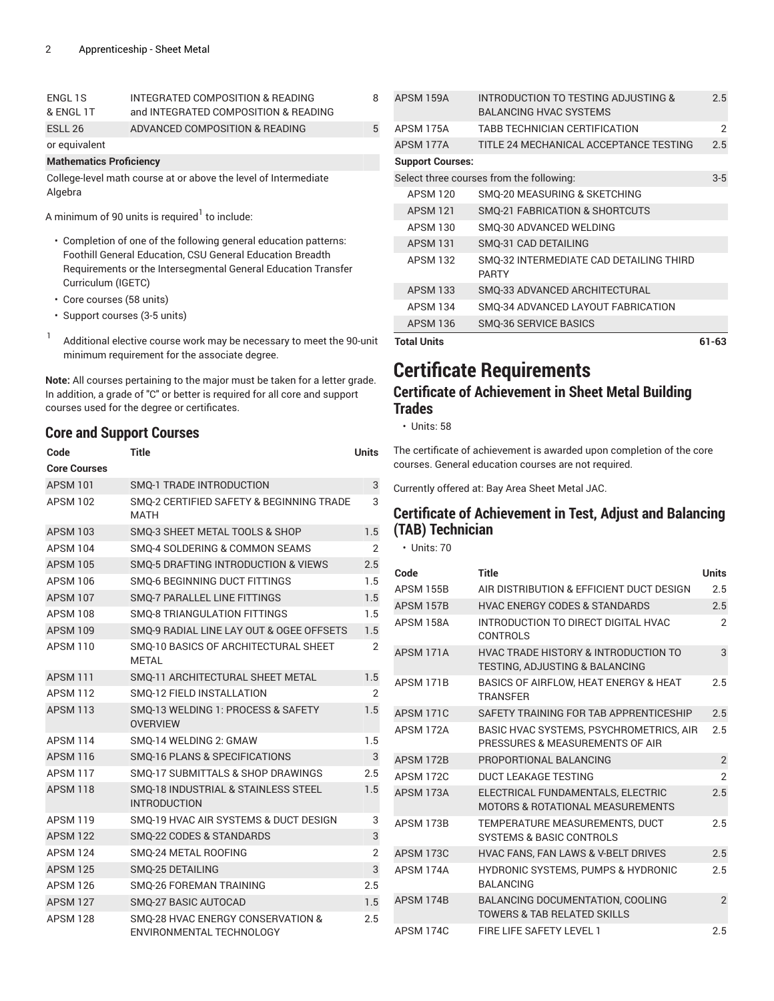| ENGL 1S       | INTEGRATED COMPOSITION & READING     | 8 |
|---------------|--------------------------------------|---|
| & ENGL 1T     | and INTEGRATED COMPOSITION & READING |   |
| ESLL 26       | ADVANCED COMPOSITION & READING       | 5 |
| or equivalent |                                      |   |

#### **Mathematics Proficiency**

College-level math course at or above the level of Intermediate Algebra

A minimum of 90 units is required $^{\rm l}$  to include:

- Completion of one of the following general education patterns: Foothill General Education, CSU General Education Breadth Requirements or the Intersegmental General Education Transfer Curriculum (IGETC)
- Core courses (58 units)
- Support courses (3-5 units)
- 1 Additional elective course work may be necessary to meet the 90-unit minimum requirement for the associate degree.

**Note:** All courses pertaining to the major must be taken for a letter grade. In addition, a grade of "C" or better is required for all core and support courses used for the degree or certificates.

### **Core and Support Courses**

| Code                | Title                                                         | <b>Units</b>   |
|---------------------|---------------------------------------------------------------|----------------|
| <b>Core Courses</b> |                                                               |                |
| <b>APSM 101</b>     | <b>SMO-1 TRADE INTRODUCTION</b>                               | 3              |
| <b>APSM 102</b>     | SMO-2 CERTIFIED SAFETY & BEGINNING TRADE<br><b>MATH</b>       | 3              |
| <b>APSM 103</b>     | SMO-3 SHEET METAL TOOLS & SHOP                                | 1.5            |
| <b>APSM 104</b>     | SMO-4 SOLDERING & COMMON SEAMS                                | 2              |
| <b>APSM 105</b>     | <b>SMO-5 DRAFTING INTRODUCTION &amp; VIEWS</b>                | 2.5            |
| <b>APSM 106</b>     | <b>SMO-6 BEGINNING DUCT FITTINGS</b>                          | 1.5            |
| <b>APSM 107</b>     | <b>SMO-7 PARALLEL LINE FITTINGS</b>                           | 1.5            |
| <b>APSM 108</b>     | <b>SMO-8 TRIANGULATION FITTINGS</b>                           | 1.5            |
| <b>APSM 109</b>     | SMO-9 RADIAL LINE LAY OUT & OGEE OFFSETS                      | 1.5            |
| <b>APSM 110</b>     | SMO-10 BASICS OF ARCHITECTURAL SHEET<br><b>METAL</b>          | $\overline{2}$ |
| <b>APSM 111</b>     | SMQ-11 ARCHITECTURAL SHEET METAL                              | 1.5            |
| <b>APSM 112</b>     | SMO-12 FIELD INSTALLATION                                     | 2              |
| <b>APSM 113</b>     | SMO-13 WELDING 1: PROCESS & SAFETY<br><b>OVERVIEW</b>         | 1.5            |
| <b>APSM 114</b>     | SMO-14 WELDING 2: GMAW                                        | 1.5            |
| <b>APSM 116</b>     | <b>SMO-16 PLANS &amp; SPECIFICATIONS</b>                      | 3              |
| <b>APSM 117</b>     | SMO-17 SUBMITTALS & SHOP DRAWINGS                             | 2.5            |
| <b>APSM 118</b>     | SMO-18 INDUSTRIAL & STAINLESS STEEL<br><b>INTRODUCTION</b>    | 1.5            |
| <b>APSM 119</b>     | SMO-19 HVAC AIR SYSTEMS & DUCT DESIGN                         | 3              |
| <b>APSM 122</b>     | <b>SMO-22 CODES &amp; STANDARDS</b>                           | 3              |
| <b>APSM 124</b>     | SMQ-24 METAL ROOFING                                          | $\overline{2}$ |
| <b>APSM 125</b>     | SMQ-25 DETAILING                                              | 3              |
| <b>APSM 126</b>     | <b>SMO-26 FOREMAN TRAINING</b>                                | 2.5            |
| <b>APSM 127</b>     | <b>SMO-27 BASIC AUTOCAD</b>                                   | 1.5            |
| <b>APSM 128</b>     | SMO-28 HVAC ENERGY CONSERVATION &<br>ENVIRONMENTAL TECHNOLOGY | 2.5            |

| <b>Total Units</b>      |                                                         | 61-63          |
|-------------------------|---------------------------------------------------------|----------------|
| <b>APSM 136</b>         | <b>SMQ-36 SERVICE BASICS</b>                            |                |
| <b>APSM 134</b>         | SMO-34 ADVANCED LAYOUT FABRICATION                      |                |
| <b>APSM 133</b>         | SMO-33 ADVANCED ARCHITECTURAL                           |                |
| <b>APSM 132</b>         | SMO-32 INTERMEDIATE CAD DETAILING THIRD<br><b>PARTY</b> |                |
| <b>APSM 131</b>         | SMO-31 CAD DETAILING                                    |                |
| <b>APSM 130</b>         | SMO-30 ADVANCED WELDING                                 |                |
| <b>APSM 121</b>         | SMQ-21 FABRICATION & SHORTCUTS                          |                |
| <b>APSM 120</b>         | SMO-20 MEASURING & SKETCHING                            |                |
|                         | Select three courses from the following:                | $3-5$          |
| <b>Support Courses:</b> |                                                         |                |
| APSM 177A               | TITLE 24 MECHANICAL ACCEPTANCE TESTING                  | 2.5            |
| APSM 175A               | TABB TECHNICIAN CERTIFICATION                           | $\overline{2}$ |
|                         | <b>BALANCING HVAC SYSTEMS</b>                           |                |
| APSM 159A               | INTRODUCTION TO TESTING ADJUSTING &                     | 2.5            |

## **Certificate Requirements**

### **Certificate of Achievement in Sheet Metal Building Trades**

• Units: 58

The certificate of achievement is awarded upon completion of the core courses. General education courses are not required.

Currently offered at: Bay Area Sheet Metal JAC.

### **Certificate of Achievement in Test, Adjust and Balancing (TAB) Technician**

• Units: 70

| Code             | <b>Title</b>                                                                      | <b>Units</b>   |
|------------------|-----------------------------------------------------------------------------------|----------------|
| <b>APSM 155B</b> | AIR DISTRIBUTION & EFFICIENT DUCT DESIGN                                          | 2.5            |
| APSM 157B        | <b>HVAC ENERGY CODES &amp; STANDARDS</b>                                          | 2.5            |
| APSM 158A        | INTRODUCTION TO DIRECT DIGITAL HVAC<br><b>CONTROLS</b>                            | 2              |
| APSM 171A        | <b>HVAC TRADE HISTORY &amp; INTRODUCTION TO</b><br>TESTING, ADJUSTING & BALANCING | 3              |
| APSM 171B        | BASICS OF AIRFLOW, HEAT ENERGY & HEAT<br><b>TRANSFFR</b>                          | 2.5            |
| APSM 171C        | SAFETY TRAINING FOR TAB APPRENTICESHIP                                            | 2.5            |
| APSM 172A        | BASIC HVAC SYSTEMS, PSYCHROMETRICS, AIR<br>PRESSURES & MEASUREMENTS OF AIR        | 2.5            |
| APSM 172B        | PROPORTIONAL BALANCING                                                            | $\overline{2}$ |
| APSM 172C        | <b>DUCT LEAKAGE TESTING</b>                                                       | $\overline{2}$ |
| APSM 173A        | ELECTRICAL FUNDAMENTALS, ELECTRIC<br><b>MOTORS &amp; ROTATIONAL MEASUREMENTS</b>  | 2.5            |
| APSM 173B        | TEMPERATURE MEASUREMENTS, DUCT<br><b>SYSTEMS &amp; BASIC CONTROLS</b>             | 2.5            |
| APSM 173C        | HVAC FANS, FAN LAWS & V-BELT DRIVES                                               | 2.5            |
| APSM 174A        | HYDRONIC SYSTEMS, PUMPS & HYDRONIC<br><b>BALANCING</b>                            | 2.5            |
| APSM 174B        | BALANCING DOCUMENTATION, COOLING<br><b>TOWERS &amp; TAB RELATED SKILLS</b>        | $\mathfrak{p}$ |
| APSM 174C        | FIRE LIFE SAFETY LEVEL 1                                                          | 2.5            |